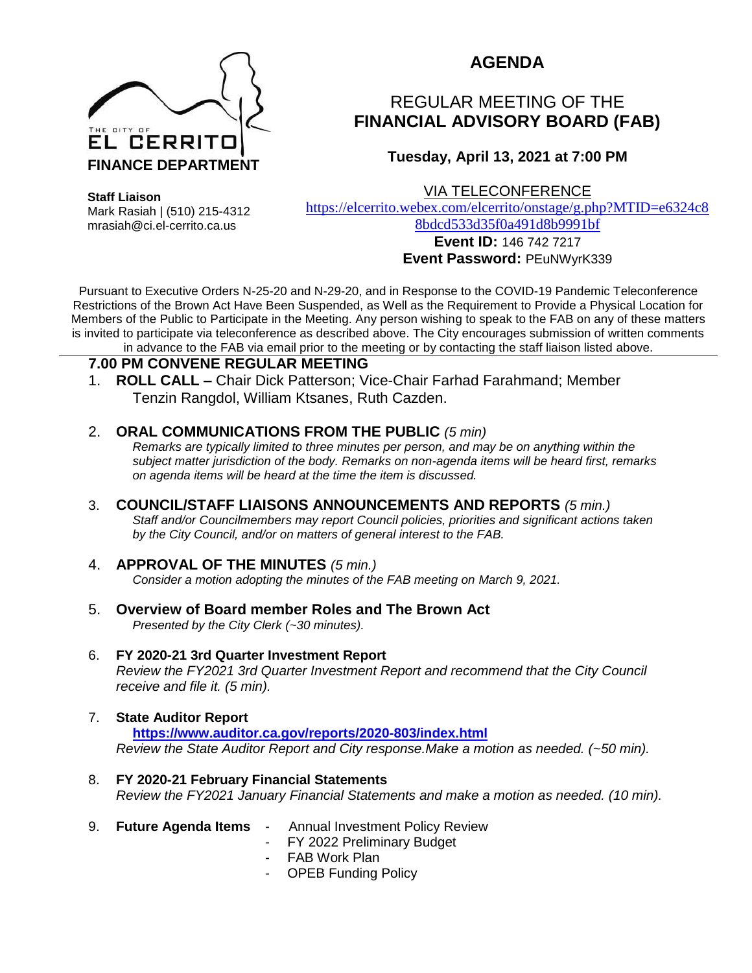

# **AGENDA**

# REGULAR MEETING OF THE **FINANCIAL ADVISORY BOARD (FAB)**

### **Tuesday, April 13, 2021 at 7:00 PM**

**Staff Liaison** Mark Rasiah | (510) 215-4312 mrasiah@ci.el-cerrito.ca.us

VIA TELECONFERENCE

[https://elcerrito.webex.com/elcerrito/onstage/g.php?MTID=e6324c8](https://elcerrito.webex.com/elcerrito/onstage/g.php?MTID=e6324c88bdcd533d35f0a491d8b9991bf) [8bdcd533d35f0a491d8b9991bf](https://elcerrito.webex.com/elcerrito/onstage/g.php?MTID=e6324c88bdcd533d35f0a491d8b9991bf)

## **Event ID:** 146 742 7217 **Event Password:** PEuNWyrK339

Pursuant to Executive Orders N-25-20 and N-29-20, and in Response to the COVID-19 Pandemic Teleconference Restrictions of the Brown Act Have Been Suspended, as Well as the Requirement to Provide a Physical Location for Members of the Public to Participate in the Meeting. Any person wishing to speak to the FAB on any of these matters is invited to participate via teleconference as described above. The City encourages submission of written comments in advance to the FAB via email prior to the meeting or by contacting the staff liaison listed above.

#### **7.00 PM CONVENE REGULAR MEETING**

1. **ROLL CALL –** Chair Dick Patterson; Vice-Chair Farhad Farahmand; Member Tenzin Rangdol, William Ktsanes, Ruth Cazden.

#### 2. **ORAL COMMUNICATIONS FROM THE PUBLIC** *(5 min)*

*Remarks are typically limited to three minutes per person, and may be on anything within the subject matter jurisdiction of the body. Remarks on non-agenda items will be heard first, remarks on agenda items will be heard at the time the item is discussed.* 

3. **COUNCIL/STAFF LIAISONS ANNOUNCEMENTS AND REPORTS** *(5 min.) Staff and/or Councilmembers may report Council policies, priorities and significant actions taken by the City Council, and/or on matters of general interest to the FAB.*

## 4. **APPROVAL OF THE MINUTES** *(5 min.)*

*Consider a motion adopting the minutes of the FAB meeting on March 9, 2021.*

5. **Overview of Board member Roles and The Brown Act** *Presented by the City Clerk (~30 minutes).*

#### 6. **FY 2020-21 3rd Quarter Investment Report**

*Review the FY2021 3rd Quarter Investment Report and recommend that the City Council receive and file it. (5 min).*

### 7. **State Auditor Report**

**<https://www.auditor.ca.gov/reports/2020-803/index.html>** *Review the State Auditor Report and City response.Make a motion as needed. (~50 min).*

- 8. **FY 2020-21 February Financial Statements** *Review the FY2021 January Financial Statements and make a motion as needed. (10 min).*
- 9. **Future Agenda Items** -Annual Investment Policy Review
	- FY 2022 Preliminary Budget
	- FAB Work Plan
	- OPEB Funding Policy